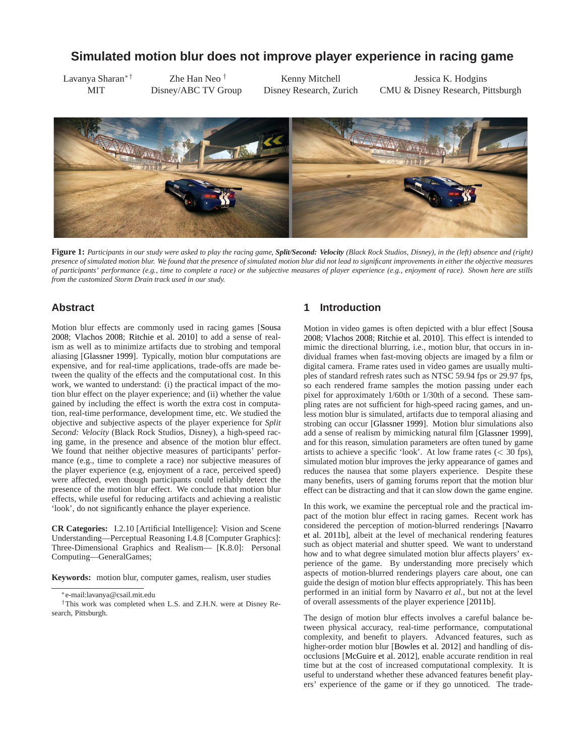# **Simulated motion blur does not improve player experience in racing game**

Lavanya Sharan∗† MIT

Zhe Han Neo † Disney/ABC TV Group

Kenny Mitchell Disney Research, Zurich

Jessica K. Hodgins CMU & Disney Research, Pittsburgh



**Figure 1:** *Participants in our study were asked to play the racing game, Split/Second: Velocity (Black Rock Studios, Disney), in the (left) absence and (right) presence of simulated motion blur. We found that the presence of simulated motion blur did not lead to significant improvements in either the objective measures of participants' performance (e.g., time to complete a race) or the subjective measures of player experience (e.g., enjoyment of race). Shown here are stills from the customized Storm Drain track used in our study.*

## <span id="page-0-0"></span>**Abstract**

Moti[on blur effects are commonly used in racing games \[](#page-5-0)Sousa 2008; [Vlachos 2008;](#page-5-1) [Ritchie et al. 2010\]](#page-5-2) to add a sense of realism as well as to minimize artifacts due to strobing and temporal aliasing [\[Glassner 1999\]](#page-5-3). Typically, motion blur computations are expensive, and for real-time applications, trade-offs are made between the quality of the effects and the computational cost. In this work, we wanted to understand: (i) the practical impact of the motion blur effect on the player experience; and (ii) whether the value gained by including the effect is worth the extra cost in computation, real-time performance, development time, etc. We studied the objective and subjective aspects of the player experience for *Split Second: Velocity* (Black Rock Studios, Disney), a high-speed racing game, in the presence and absence of the motion blur effect. We found that neither objective measures of participants' performance (e.g., time to complete a race) nor subjective measures of the player experience (e.g, enjoyment of a race, perceived speed) were affected, even though participants could reliably detect the presence of the motion blur effect. We conclude that motion blur effects, while useful for reducing artifacts and achieving a realistic 'look', do not significantly enhance the player experience.

**CR Categories:** I.2.10 [Artificial Intelligence]: Vision and Scene Understanding—Perceptual Reasoning I.4.8 [Computer Graphics]: Three-Dimensional Graphics and Realism— [K.8.0]: Personal Computing—GeneralGames;

**Keywords:** motion blur, computer games, realism, user studies

### **1 Introduction**

Moti[on in video games is often depicted with a blur effect \[](#page-5-0)Sousa 2008; [Vlachos 2008;](#page-5-1) [Ritchie et al. 2010\]](#page-5-2). This effect is intended to mimic the directional blurring, i.e., motion blur, that occurs in individual frames when fast-moving objects are imaged by a film or digital camera. Frame rates used in video games are usually multiples of standard refresh rates such as NTSC 59.94 fps or 29.97 fps, so each rendered frame samples the motion passing under each pixel for approximately 1/60th or 1/30th of a second. These sampling rates are not sufficient for high-speed racing games, and unless motion blur is simulated, artifacts due to temporal aliasing and strobing can occur [\[Glassner 1999\]](#page-5-3). Motion blur simulations also add a sense of realism by mimicking natural film [\[Glassner 1999\]](#page-5-3), and for this reason, simulation parameters are often tuned by game artists to achieve a specific 'look'. At low frame rates  $( $30$  fps),$ simulated motion blur improves the jerky appearance of games and reduces the nausea that some players experience. Despite these many benefits, users of gaming forums report that the motion blur effect can be distracting and that it can slow down the game engine.

In this work, we examine the perceptual role and the practical impact of the motion blur effect in racing games. Recent work has considered t[he perception of motion-blurred renderings \[](#page-5-4)Navarro et al. 2011b], albeit at the level of mechanical rendering features such as object material and shutter speed. We want to understand how and to what degree simulated motion blur affects players' experience of the game. By understanding more precisely which aspects of motion-blurred renderings players care about, one can guide the design of motion blur effects appropriately. This has been performed in an initial form by Navarro *et al.*, but not at the level of overall assessments of the player experience [\[2011b\]](#page-5-4).

The design of motion blur effects involves a careful balance between physical accuracy, real-time performance, computational complexity, and benefit to players. Advanced features, such as higher-order motion blur [\[Bowles et al. 2012\]](#page-5-5) and handling of disocclusions [\[McGuire et al. 2012\]](#page-5-6), enable accurate rendition in real time but at the cost of increased computational complexity. It is useful to understand whether these advanced features benefit players' experience of the game or if they go unnoticed. The trade-

<sup>∗</sup> e-mail:lavanya@csail.mit.edu

<sup>†</sup>This work was completed when L.S. and Z.H.N. were at Disney Research, Pittsburgh.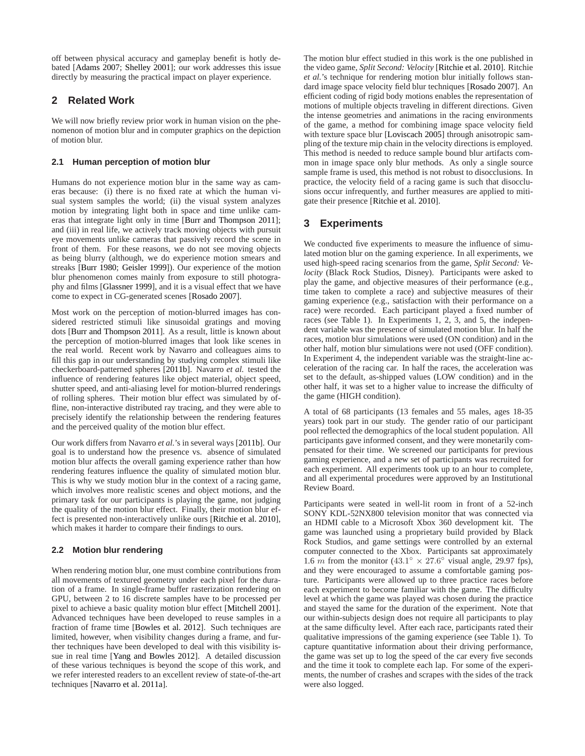off between physical accuracy and gameplay benefit is hotly debated [\[Adams 2007;](#page-5-7) [Shelley 2001\]](#page-5-8); our work addresses this issue directly by measuring the practical impact on player experience.

# **2 Related Work**

We will now briefly review prior work in human vision on the phenomenon of motion blur and in computer graphics on the depiction of motion blur.

### **2.1 Human perception of motion blur**

Humans do not experience motion blur in the same way as cameras because: (i) there is no fixed rate at which the human visual system samples the world; (ii) the visual system analyzes motion by integrating light both in space and time unlike cameras that integrate light only in time [\[Burr and Thompson 2011\]](#page-5-9); and (iii) in real life, we actively track moving objects with pursuit eye movements unlike cameras that passively record the scene in front of them. For these reasons, we do not see moving objects as being blurry (although, we do experience motion smears and streaks [\[Burr 1980;](#page-5-10) [Geisler 1999\]](#page-5-11)). Our experience of the motion blur phenomenon comes mainly from exposure to still photography and films [\[Glassner 1999\]](#page-5-3), and it is a visual effect that we have come to expect in CG-generated scenes [\[Rosado 2007\]](#page-5-12).

Most work on the perception of motion-blurred images has considered restricted stimuli like sinusoidal gratings and moving dots [\[Burr and Thompson 2011\]](#page-5-9). As a result, little is known about the perception of motion-blurred images that look like scenes in the real world. Recent work by Navarro and colleagues aims to fill this gap in our understanding by studying complex stimuli like checkerboard-patterned spheres [\[2011b\]](#page-5-4). Navarro *et al.* tested the influence of rendering features like object material, object speed, shutter speed, and anti-aliasing level for motion-blurred renderings of rolling spheres. Their motion blur effect was simulated by offline, non-interactive distributed ray tracing, and they were able to precisely identify the relationship between the rendering features and the perceived quality of the motion blur effect.

Our work differs from Navarro *et al.*'s in several ways [\[2011b\]](#page-5-4). Our goal is to understand how the presence vs. absence of simulated motion blur affects the overall gaming experience rather than how rendering features influence the quality of simulated motion blur. This is why we study motion blur in the context of a racing game, which involves more realistic scenes and object motions, and the primary task for our participants is playing the game, not judging the quality of the motion blur effect. Finally, their motion blur effect is presented non-interactively unlike ours [\[Ritchie et al. 2010\]](#page-5-2), which makes it harder to compare their findings to ours.

## **2.2 Motion blur rendering**

When rendering motion blur, one must combine contributions from all movements of textured geometry under each pixel for the duration of a frame. In single-frame buffer rasterization rendering on GPU, between 2 to 16 discrete samples have to be processed per pixel to achieve a basic quality motion blur effect [\[Mitchell 2001\]](#page-5-13). Advanced techniques have been developed to reuse samples in a fraction of frame time [\[Bowles et al. 2012\]](#page-5-5). Such techniques are limited, however, when visibility changes during a frame, and further techniques have been developed to deal with this visibility issue in real time [\[Yang and Bowles 2012\]](#page-5-14). A detailed discussion of these various techniques is beyond the scope of this work, and we refer interested readers to an excellent review of state-of-the-art techniques [\[Navarro et al. 2011a\]](#page-5-15).

The motion blur effect studied in this work is the one published in the video game, *Split Second: Velocity* [\[Ritchie et al. 2010\]](#page-5-2). Ritchie *et al.*'s technique for rendering motion blur initially follows standard image space velocity field blur techniques [\[Rosado 2007\]](#page-5-12). An efficient coding of rigid body motions enables the representation of motions of multiple objects traveling in different directions. Given the intense geometries and animations in the racing environments of the game, a method for combining image space velocity field with texture space blur [\[Loviscach 2005\]](#page-5-16) through anisotropic sampling of the texture mip chain in the velocity directions is employed. This method is needed to reduce sample bound blur artifacts common in image space only blur methods. As only a single source sample frame is used, this method is not robust to disocclusions. In practice, the velocity field of a racing game is such that disocclusions occur infrequently, and further measures are applied to mitigate their presence [\[Ritchie et al. 2010\]](#page-5-2).

# **3 Experiments**

We conducted five experiments to measure the influence of simulated motion blur on the gaming experience. In all experiments, we used high-speed racing scenarios from the game, *Split Second: Velocity* (Black Rock Studios, Disney). Participants were asked to play the game, and objective measures of their performance (e.g., time taken to complete a race) and subjective measures of their gaming experience (e.g., satisfaction with their performance on a race) were recorded. Each participant played a fixed number of races (see Table [1\)](#page-2-0). In Experiments 1, 2, 3, and 5, the independent variable was the presence of simulated motion blur. In half the races, motion blur simulations were used (ON condition) and in the other half, motion blur simulations were not used (OFF condition). In Experiment 4, the independent variable was the straight-line acceleration of the racing car. In half the races, the acceleration was set to the default, as-shipped values (LOW condition) and in the other half, it was set to a higher value to increase the difficulty of the game (HIGH condition).

A total of 68 participants (13 females and 55 males, ages 18-35 years) took part in our study. The gender ratio of our participant pool reflected the demographics of the local student population. All participants gave informed consent, and they were monetarily compensated for their time. We screened our participants for previous gaming experience, and a new set of participants was recruited for each experiment. All experiments took up to an hour to complete, and all experimental procedures were approved by an Institutional Review Board.

Participants were seated in well-lit room in front of a 52-inch SONY KDL-52NX800 television monitor that was connected via an HDMI cable to a Microsoft Xbox 360 development kit. The game was launched using a proprietary build provided by Black Rock Studios, and game settings were controlled by an external computer connected to the Xbox. Participants sat approximately 1.6 m from the monitor  $(43.1^\circ \times 27.6^\circ)$  visual angle, 29.97 fps), and they were encouraged to assume a comfortable gaming posture. Participants were allowed up to three practice races before each experiment to become familiar with the game. The difficulty level at which the game was played was chosen during the practice and stayed the same for the duration of the experiment. Note that our within-subjects design does not require all participants to play at the same difficulty level. After each race, participants rated their qualitative impressions of the gaming experience (see Table 1). To capture quantitative information about their driving performance, the game was set up to log the speed of the car every five seconds and the time it took to complete each lap. For some of the experiments, the number of crashes and scrapes with the sides of the track were also logged.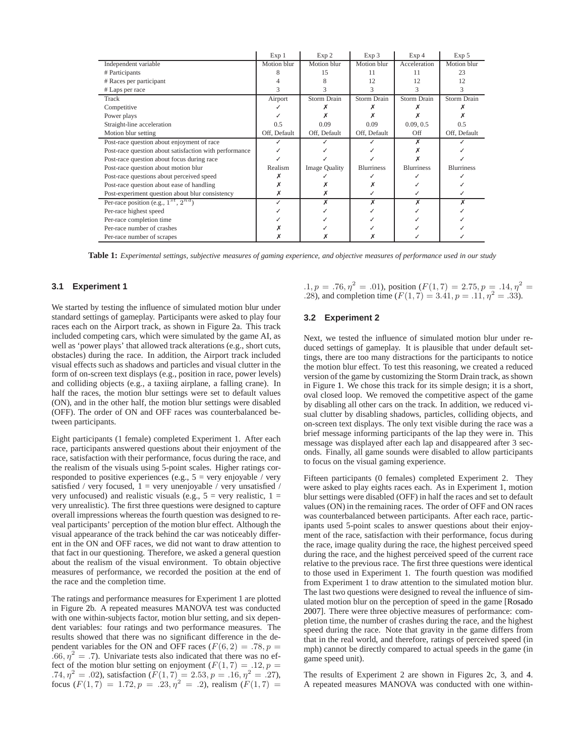<span id="page-2-0"></span>

|                                                        | Exp <sub>1</sub> | Exp 2                | Exp 3             | Exp <sub>4</sub>  | Exp 5             |
|--------------------------------------------------------|------------------|----------------------|-------------------|-------------------|-------------------|
| Independent variable                                   | Motion blur      | Motion blur          | Motion blur       | Acceleration      | Motion blur       |
| # Participants                                         |                  | 15                   | 11                | 11                | 23                |
| # Races per participant                                |                  |                      | 12                | 12                | 12                |
| # Laps per race                                        |                  |                      |                   |                   |                   |
| Track                                                  | Airport          | Storm Drain          | Storm Drain       | Storm Drain       | Storm Drain       |
| Competitive                                            |                  |                      |                   |                   |                   |
| Power plays                                            |                  |                      |                   |                   |                   |
| Straight-line acceleration                             | 0.5              | 0.09                 | 0.09              | 0.09, 0.5         | 0.5               |
| Motion blur setting                                    | Off, Default     | Off, Default         | Off, Default      | Off               | Off, Default      |
| Post-race question about enjoyment of race             |                  |                      |                   |                   |                   |
| Post-race question about satisfaction with performance |                  |                      |                   |                   |                   |
| Post-race question about focus during race             |                  |                      |                   |                   |                   |
| Post-race question about motion blur                   | Realism          | <b>Image Quality</b> | <b>Blurriness</b> | <b>Blurriness</b> | <b>Blurriness</b> |
| Post-race questions about perceived speed              |                  |                      |                   |                   |                   |
| Post-race question about ease of handling              |                  |                      |                   |                   |                   |
| Post-experiment question about blur consistency        | х                |                      |                   |                   |                   |
| Per-race position (e.g., $1^{st}$ , $2^{nd}$ )         |                  |                      |                   |                   |                   |
| Per-race highest speed                                 |                  |                      |                   |                   |                   |
| Per-race completion time                               |                  |                      |                   |                   |                   |
| Per-race number of crashes                             |                  |                      |                   |                   |                   |
| Per-race number of scrapes                             |                  |                      |                   |                   |                   |

**Table 1:** *Experimental settings, subjective measures of gaming experience, and objective measures of performance used in our study*

#### **3.1 Experiment 1**

We started by testing the influence of simulated motion blur under standard settings of gameplay. Participants were asked to play four races each on the Airport track, as shown in Figure [2a](#page-3-0). This track included competing cars, which were simulated by the game AI, as well as 'power plays' that allowed track alterations (e.g., short cuts, obstacles) during the race. In addition, the Airport track included visual effects such as shadows and particles and visual clutter in the form of on-screen text displays (e.g., position in race, power levels) and colliding objects (e.g., a taxiing airplane, a falling crane). In half the races, the motion blur settings were set to default values (ON), and in the other half, the motion blur settings were disabled (OFF). The order of ON and OFF races was counterbalanced between participants.

Eight participants (1 female) completed Experiment 1. After each race, participants answered questions about their enjoyment of the race, satisfaction with their performance, focus during the race, and the realism of the visuals using 5-point scales. Higher ratings corresponded to positive experiences (e.g.,  $5 = \text{very enjoyable}$  / very satisfied / very focused,  $1 = \text{very unenjovable}$  / very unsatisfied / very unfocused) and realistic visuals (e.g.,  $5 =$  very realistic,  $1 =$ very unrealistic). The first three questions were designed to capture overall impressions whereas the fourth question was designed to reveal participants' perception of the motion blur effect. Although the visual appearance of the track behind the car was noticeably different in the ON and OFF races, we did not want to draw attention to that fact in our questioning. Therefore, we asked a general question about the realism of the visual environment. To obtain objective measures of performance, we recorded the position at the end of the race and the completion time.

The ratings and performance measures for Experiment 1 are plotted in Figure [2b](#page-3-0). A repeated measures MANOVA test was conducted with one within-subjects factor, motion blur setting, and six dependent variables: four ratings and two performance measures. The results showed that there was no significant difference in the dependent variables for the ON and OFF races ( $F(6, 2) = .78$ ,  $p =$ .66,  $\eta^2 = .7$ ). Univariate tests also indicated that there was no effect of the motion blur setting on enjoyment  $(F(1, 7) = .12, p =$ .74,  $\eta^2 = .02$ ), satisfaction  $(F(1, 7) = 2.53, p = .16, \eta^2 = .27)$ , focus  $(F(1, 7) = 1.72, p = .23, \eta^2 = .2)$ , realism  $(F(1, 7) =$   $.1, p = .76, \eta^2 = .01$ , position  $(F(1, 7) = 2.75, p = .14, \eta^2 = .14)$ .28), and completion time  $(F(1, 7) = 3.41, p = .11, \eta^2 = .33)$ .

#### **3.2 Experiment 2**

Next, we tested the influence of simulated motion blur under reduced settings of gameplay. It is plausible that under default settings, there are too many distractions for the participants to notice the motion blur effect. To test this reasoning, we created a reduced version of the game by customizing the Storm Drain track, as shown in Figure [1.](#page-0-0) We chose this track for its simple design; it is a short, oval closed loop. We removed the competitive aspect of the game by disabling all other cars on the track. In addition, we reduced visual clutter by disabling shadows, particles, colliding objects, and on-screen text displays. The only text visible during the race was a brief message informing participants of the lap they were in. This message was displayed after each lap and disappeared after 3 seconds. Finally, all game sounds were disabled to allow participants to focus on the visual gaming experience.

Fifteen participants (0 females) completed Experiment 2. They were asked to play eights races each. As in Experiment 1, motion blur settings were disabled (OFF) in half the races and set to default values (ON) in the remaining races. The order of OFF and ON races was counterbalanced between participants. After each race, participants used 5-point scales to answer questions about their enjoyment of the race, satisfaction with their performance, focus during the race, image quality during the race, the highest perceived speed during the race, and the highest perceived speed of the current race relative to the previous race. The first three questions were identical to those used in Experiment 1. The fourth question was modified from Experiment 1 to draw attention to the simulated motion blur. The last two questions were designed to reveal the influence of simulate[d motion blur on the perception of speed in the game \[](#page-5-12)Rosado 2007]. There were three objective measures of performance: completion time, the number of crashes during the race, and the highest speed during the race. Note that gravity in the game differs from that in the real world, and therefore, ratings of perceived speed (in mph) cannot be directly compared to actual speeds in the game (in game speed unit).

The results of Experiment 2 are shown in Figures [2c](#page-3-0), [3,](#page-4-0) and [4.](#page-4-1) A repeated measures MANOVA was conducted with one within-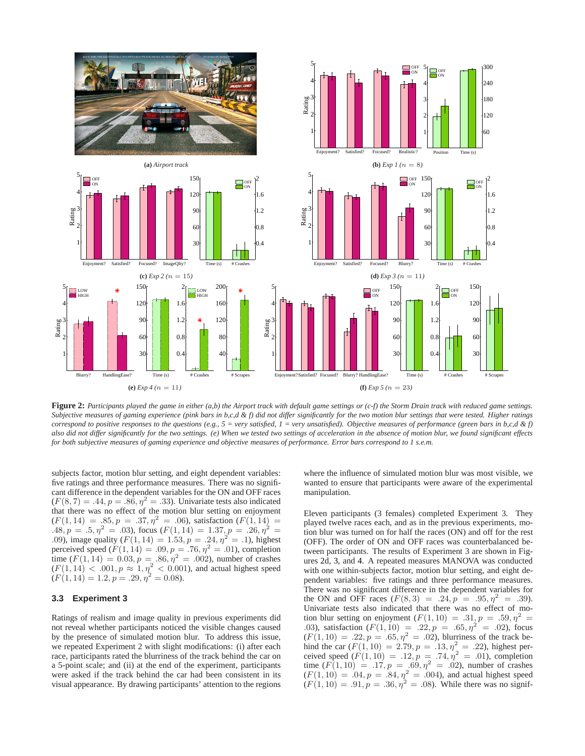<span id="page-3-0"></span>

**Figure 2:** *Participants played the game in either (a,b) the Airport track with default game settings or (c-f) the Storm Drain track with reduced game settings. Subjective measures of gaming experience (pink bars in b,c,d & f) did not differ significantly for the two motion blur settings that were tested. Higher ratings correspond to positive responses to the questions (e.g., 5 = very satisfied, 1 = very unsatisfied). Objective measures of performance (green bars in b,c,d & f) also did not differ significantly for the two settings. (e) When we tested two settings of acceleration in the absence of motion blur, we found significant effects for both subjective measures of gaming experience and objective measures of performance. Error bars correspond to 1 s.e.m.*

subjects factor, motion blur setting, and eight dependent variables: five ratings and three performance measures. There was no significant difference in the dependent variables for the ON and OFF races  $(F(8, 7) = .44, p = .86, \eta^2 = .33)$ . Univariate tests also indicated that there was no effect of the motion blur setting on enjoyment  $(F(1, 14) = .85, p = .37, \eta^2 = .06)$ , satisfaction  $(F(1, 14) =$ .48,  $p = .5$ ,  $\eta^2 = .03$ ), focus  $(F(1, 14) = 1.37, p = .26, \eta^2 = .26)$ .09), image quality  $(F(1, 14) = 1.53, p = .24, p^2 = .1)$ , highest perceived speed  $(F(1, 14) = .09, p = .76, \eta^2 = .01)$ , completion time  $(F(1, 14) = 0.03, p = .86, \eta^2 = .002)$ , number of crashes  $(F(1, 14) < .001, p \approx 1, \eta^2 < .0001)$ , and actual highest speed  $(F(1, 14) = 1.2, p = .29, \eta^2 = 0.08).$ 

#### **3.3 Experiment 3**

Ratings of realism and image quality in previous experiments did not reveal whether participants noticed the visible changes caused by the presence of simulated motion blur. To address this issue, we repeated Experiment 2 with slight modifications: (i) after each race, participants rated the blurriness of the track behind the car on a 5-point scale; and (ii) at the end of the experiment, participants were asked if the track behind the car had been consistent in its visual appearance. By drawing participants' attention to the regions

where the influence of simulated motion blur was most visible, we wanted to ensure that participants were aware of the experimental manipulation.

Eleven participants (3 females) completed Experiment 3. They played twelve races each, and as in the previous experiments, motion blur was turned on for half the races (ON) and off for the rest (OFF). The order of ON and OFF races was counterbalanced between participants. The results of Experiment 3 are shown in Figures [2d](#page-3-0), [3,](#page-4-0) and [4.](#page-4-1) A repeated measures MANOVA was conducted with one within-subjects factor, motion blur setting, and eight dependent variables: five ratings and three performance measures. There was no significant difference in the dependent variables for the ON and OFF races  $(F(8, 3) = .24, p = .95, \eta^2 = .39)$ . Univariate tests also indicated that there was no effect of motion blur setting on enjoyment  $(F(1, 10) = .31, p = .59, \eta^2 =$ .03), satisfaction  $(F(1, 10) = .22, p = .65, \eta^2 = .02)$ , focus  $(F(1, 10) = .22, p = .65, \eta^2 = .02)$ , blurriness of the track behind the car  $(F(1, 10) = 2.79, p = .13, \eta^2 = .22)$ , highest perceived speed  $(F(1, 10) = .12, p = .74, \eta^2 = .01)$ , completion time  $(F(1, 10) = .17, p = .69, \eta^2 = .02)$ , number of crashes  $(F(1, 10) = .04, p = .84, \eta^2 = .004)$ , and actual highest speed  $(F(1, 10) = .91, p = .36, \eta^2 = .08)$ . While there was no signif-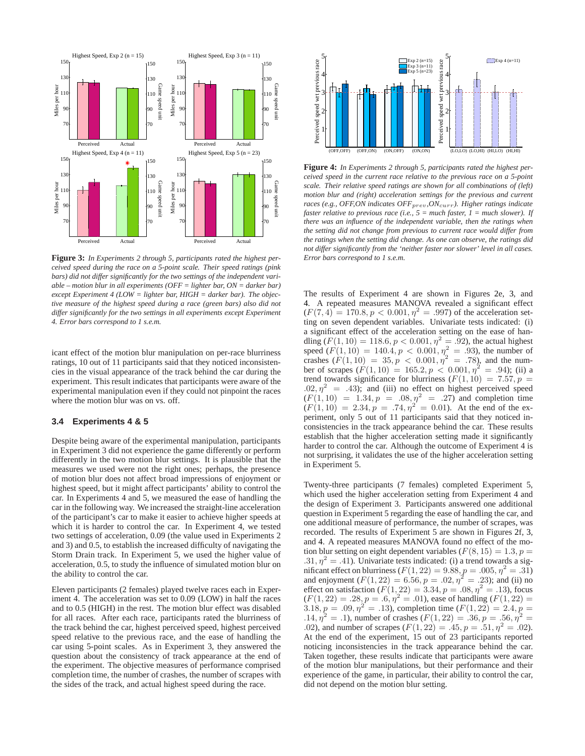<span id="page-4-0"></span>

**Figure 3:** *In Experiments 2 through 5, participants rated the highest perceived speed during the race on a 5-point scale. Their speed ratings (pink bars) did not differ significantly for the two settings of the independent variable – motion blur in all experiments (OFF = lighter bar, ON = darker bar) except Experiment 4 (LOW = lighter bar, HIGH = darker bar). The objective measure of the highest speed during a race (green bars) also did not differ significantly for the two settings in all experiments except Experiment 4. Error bars correspond to 1 s.e.m.*

icant effect of the motion blur manipulation on per-race blurriness ratings, 10 out of 11 participants said that they noticed inconsistencies in the visual appearance of the track behind the car during the experiment. This result indicates that participants were aware of the experimental manipulation even if they could not pinpoint the races where the motion blur was on vs. off.

#### **3.4 Experiments 4 & 5**

Despite being aware of the experimental manipulation, participants in Experiment 3 did not experience the game differently or perform differently in the two motion blur settings. It is plausible that the measures we used were not the right ones; perhaps, the presence of motion blur does not affect broad impressions of enjoyment or highest speed, but it might affect participants' ability to control the car. In Experiments 4 and 5, we measured the ease of handling the car in the following way. We increased the straight-line acceleration of the participant's car to make it easier to achieve higher speeds at which it is harder to control the car. In Experiment 4, we tested two settings of acceleration, 0.09 (the value used in Experiments 2 and 3) and 0.5, to establish the increased difficulty of navigating the Storm Drain track. In Experiment 5, we used the higher value of acceleration, 0.5, to study the influence of simulated motion blur on the ability to control the car.

Eleven participants (2 females) played twelve races each in Experiment 4. The acceleration was set to 0.09 (LOW) in half the races and to 0.5 (HIGH) in the rest. The motion blur effect was disabled for all races. After each race, participants rated the blurriness of the track behind the car, highest perceived speed, highest perceived speed relative to the previous race, and the ease of handling the car using 5-point scales. As in Experiment 3, they answered the question about the consistency of track appearance at the end of the experiment. The objective measures of performance comprised completion time, the number of crashes, the number of scrapes with the sides of the track, and actual highest speed during the race.

<span id="page-4-1"></span>

**Figure 4:** *In Experiments 2 through 5, participants rated the highest perceived speed in the current race relative to the previous race on a 5-point scale. Their relative speed ratings are shown for all combinations of (left) motion blur and (right) acceleration settings for the previous and current races (e.g., OFF,ON indicates OFF*<sub>prev</sub>, ON<sub>curr</sub>). Higher ratings indicate *faster relative to previous race (i.e., 5 = much faster, 1 = much slower). If there was an influence of the independent variable, then the ratings when the setting did not change from previous to current race would differ from the ratings when the setting did change. As one can observe, the ratings did not differ significantly from the 'neither faster nor slower' level in all cases. Error bars correspond to 1 s.e.m.*

The results of Experiment 4 are shown in Figures [2e](#page-3-0), [3,](#page-4-0) and [4.](#page-4-1) A repeated measures MANOVA revealed a significant effect  $(F(7, 4) = 170.8, p < 0.001, \eta^2 = .997)$  of the acceleration setting on seven dependent variables. Univariate tests indicated: (i) a significant effect of the acceleration setting on the ease of handling  $(F(1, 10) = 118.6, p < 0.001, \eta^2 = .92)$ , the actual highest speed  $(F(1, 10) = 140.4, p < 0.001, \eta^2 = .93)$ , the number of crashes  $(F(1, 10) = 35, p < 0.001, \eta^2 = .78)$ , and the number of scrapes  $(F(1, 10) = 165.2, p < 0.001, \eta^2 = .94)$ ; (ii) a trend towards significance for blurriness  $(F(1, 10) = 7.57, p =$ .02,  $\eta^2$  = .43); and (iii) no effect on highest perceived speed  $(F(1, 10) = 1.34, p = .08, \eta^2 = .27)$  and completion time  $(F(1, 10)) = 2.34, p = .74, \eta^2 = 0.01$ . At the end of the experiment, only 5 out of 11 participants said that they noticed inconsistencies in the track appearance behind the car. These results establish that the higher acceleration setting made it significantly harder to control the car. Although the outcome of Experiment 4 is not surprising, it validates the use of the higher acceleration setting in Experiment 5.

Twenty-three participants (7 females) completed Experiment 5, which used the higher acceleration setting from Experiment 4 and the design of Experiment 3. Participants answered one additional question in Experiment 5 regarding the ease of handling the car, and one additional measure of performance, the number of scrapes, was recorded. The results of Experiment 5 are shown in Figures [2f](#page-3-0), [3,](#page-4-0) and [4.](#page-4-1) A repeated measures MANOVA found no effect of the motion blur setting on eight dependent variables ( $F(8, 15) = 1.3, p =$  $.31, \eta^2 = .41$ ). Univariate tests indicated: (i) a trend towards a significant effect on blurriness ( $F(1, 22) = 9.88, p = .005, \eta^2 = .31$ ) and enjoyment  $(F(1, 22) = 6.56, p = .02, \eta^2 = .23)$ ; and (ii) no effect on satisfaction  $(F(1, 22) = 3.34, p = .08, \eta^2 = .13)$ , focus  $(F(1, 22) = .28, p = .6, \eta^2 = .01)$ , ease of handling  $(F(1, 22)) =$ 3.18,  $p = .09, \eta^2 = .13$ ), completion time  $(F(1, 22) = 2.4, p =$  $.14, \eta^2 = .1$ ), number of crashes  $(F(1, 22) = .36, p = .56, \eta^2 = .1)$ .02), and number of scrapes  $(F(1, 22) = .45, p = .51, \eta^2 = .02)$ . At the end of the experiment, 15 out of 23 participants reported noticing inconsistencies in the track appearance behind the car. Taken together, these results indicate that participants were aware of the motion blur manipulations, but their performance and their experience of the game, in particular, their ability to control the car, did not depend on the motion blur setting.